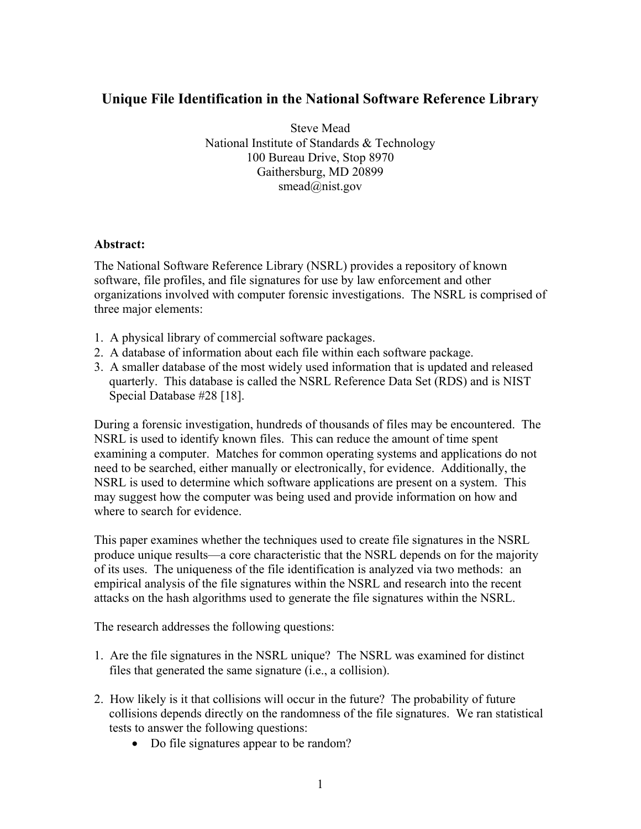# **Unique File Identification in the National Software Reference Library**

Steve Mead National Institute of Standards & Technology 100 Bureau Drive, Stop 8970 Gaithersburg, MD 20899 smead@nist.gov

#### **Abstract:**

The National Software Reference Library (NSRL) provides a repository of known software, file profiles, and file signatures for use by law enforcement and other organizations involved with computer forensic investigations. The NSRL is comprised of three major elements:

- 1. A physical library of commercial software packages.
- 2. A database of information about each file within each software package.
- 3. A smaller database of the most widely used information that is updated and released quarterly. This database is called the NSRL Reference Data Set (RDS) and is NIST Special Database #28 [18].

During a forensic investigation, hundreds of thousands of files may be encountered. The NSRL is used to identify known files. This can reduce the amount of time spent examining a computer. Matches for common operating systems and applications do not need to be searched, either manually or electronically, for evidence. Additionally, the NSRL is used to determine which software applications are present on a system. This may suggest how the computer was being used and provide information on how and where to search for evidence.

This paper examines whether the techniques used to create file signatures in the NSRL produce unique results—a core characteristic that the NSRL depends on for the majority of its uses. The uniqueness of the file identification is analyzed via two methods: an empirical analysis of the file signatures within the NSRL and research into the recent attacks on the hash algorithms used to generate the file signatures within the NSRL.

The research addresses the following questions:

- 1. Are the file signatures in the NSRL unique? The NSRL was examined for distinct files that generated the same signature (i.e., a collision).
- 2. How likely is it that collisions will occur in the future? The probability of future collisions depends directly on the randomness of the file signatures. We ran statistical tests to answer the following questions:
	- Do file signatures appear to be random?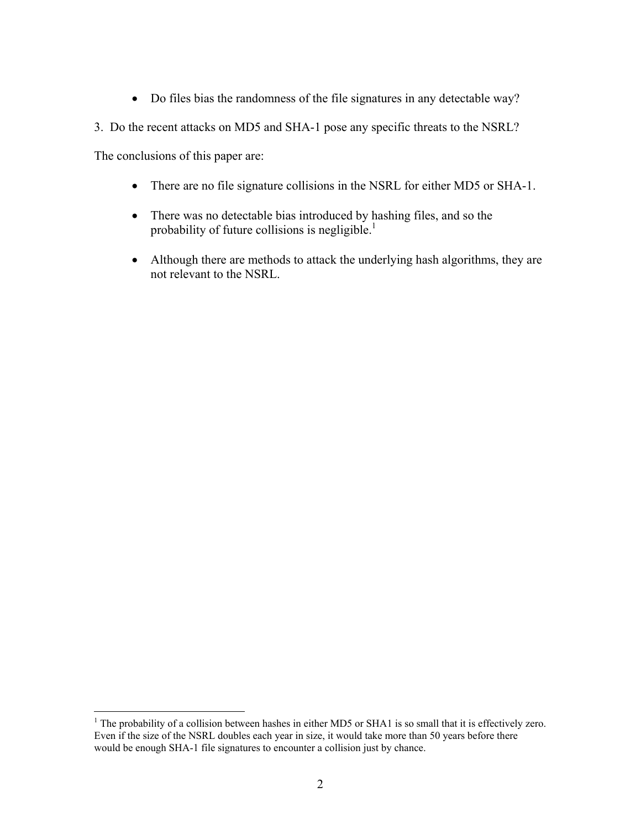- Do files bias the randomness of the file signatures in any detectable way?
- 3. Do the recent attacks on MD5 and SHA-1 pose any specific threats to the NSRL?

The conclusions of this paper are:

1

- There are no file signature collisions in the NSRL for either MD5 or SHA-1.
- There was no detectable bias introduced by hashing files, and so the probability of future collisions is negligible.<sup>1</sup>
- Although there are methods to attack the underlying hash algorithms, they are not relevant to the NSRL.

<sup>&</sup>lt;sup>1</sup> The probability of a collision between hashes in either MD5 or SHA1 is so small that it is effectively zero. Even if the size of the NSRL doubles each year in size, it would take more than 50 years before there would be enough SHA-1 file signatures to encounter a collision just by chance.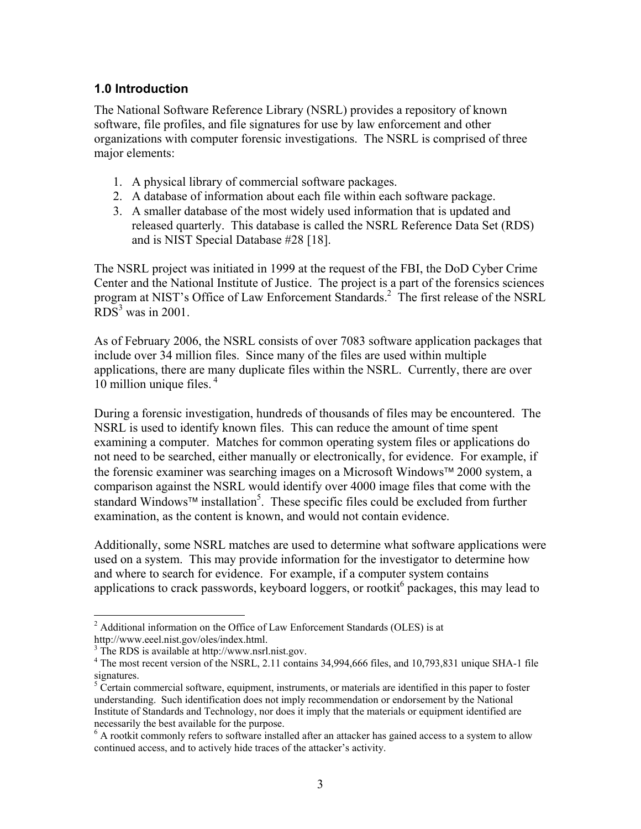#### **1.0 Introduction**

The National Software Reference Library (NSRL) provides a repository of known software, file profiles, and file signatures for use by law enforcement and other organizations with computer forensic investigations. The NSRL is comprised of three major elements:

- 1. A physical library of commercial software packages.
- 2. A database of information about each file within each software package.
- 3. A smaller database of the most widely used information that is updated and released quarterly. This database is called the NSRL Reference Data Set (RDS) and is NIST Special Database #28 [18].

The NSRL project was initiated in 1999 at the request of the FBI, the DoD Cyber Crime Center and the National Institute of Justice. The project is a part of the forensics sciences program at NIST's Office of Law Enforcement Standards.<sup>2</sup> The first release of the NSRL  $RDS<sup>3</sup>$  was in 2001.

As of February 2006, the NSRL consists of over 7083 software application packages that include over 34 million files. Since many of the files are used within multiple applications, there are many duplicate files within the NSRL. Currently, there are over 10 million unique files. 4

During a forensic investigation, hundreds of thousands of files may be encountered. The NSRL is used to identify known files. This can reduce the amount of time spent examining a computer. Matches for common operating system files or applications do not need to be searched, either manually or electronically, for evidence. For example, if the forensic examiner was searching images on a Microsoft Windows<sup>™</sup> 2000 system, a comparison against the NSRL would identify over 4000 image files that come with the standard Windows<sup> $\tau$ M</sup> installation<sup>5</sup>. These specific files could be excluded from further examination, as the content is known, and would not contain evidence.

Additionally, some NSRL matches are used to determine what software applications were used on a system. This may provide information for the investigator to determine how and where to search for evidence. For example, if a computer system contains applications to crack passwords, keyboard loggers, or rootkit<sup>6</sup> packages, this may lead to

 $\overline{a}$ 

 $2$  Additional information on the Office of Law Enforcement Standards (OLES) is at http://www.eeel.nist.gov/oles/index.html.

<sup>&</sup>lt;sup>3</sup> The RDS is available at http://www.nsrl.nist.gov.

<sup>&</sup>lt;sup>4</sup> The most recent version of the NSRL, 2.11 contains 34,994,666 files, and 10,793,831 unique SHA-1 file signatures.

 $5$  Certain commercial software, equipment, instruments, or materials are identified in this paper to foster understanding. Such identification does not imply recommendation or endorsement by the National Institute of Standards and Technology, nor does it imply that the materials or equipment identified are necessarily the best available for the purpose.

<sup>&</sup>lt;sup>6</sup> A rootkit commonly refers to software installed after an attacker has gained access to a system to allow continued access, and to actively hide traces of the attacker's activity.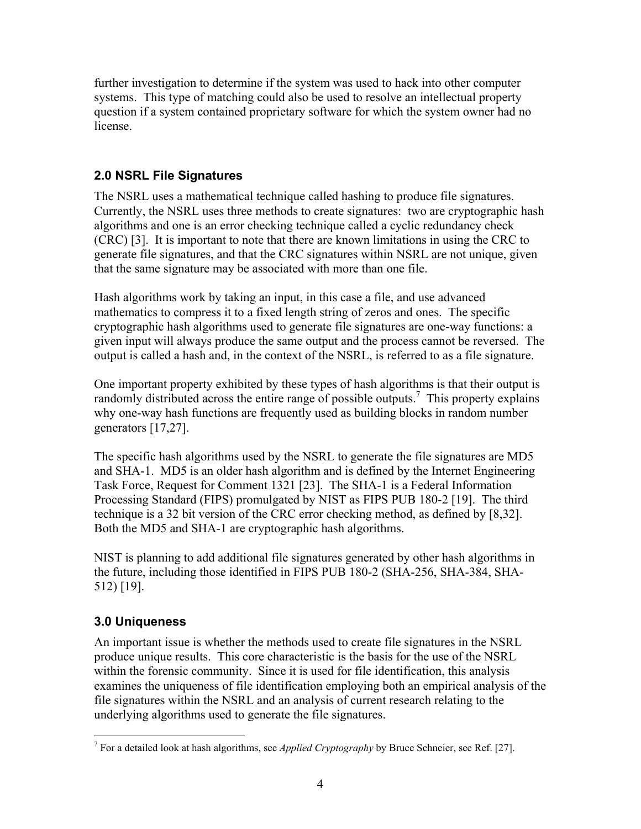further investigation to determine if the system was used to hack into other computer systems. This type of matching could also be used to resolve an intellectual property question if a system contained proprietary software for which the system owner had no license.

# **2.0 NSRL File Signatures**

The NSRL uses a mathematical technique called hashing to produce file signatures. Currently, the NSRL uses three methods to create signatures: two are cryptographic hash algorithms and one is an error checking technique called a cyclic redundancy check (CRC) [3]. It is important to note that there are known limitations in using the CRC to generate file signatures, and that the CRC signatures within NSRL are not unique, given that the same signature may be associated with more than one file.

Hash algorithms work by taking an input, in this case a file, and use advanced mathematics to compress it to a fixed length string of zeros and ones. The specific cryptographic hash algorithms used to generate file signatures are one-way functions: a given input will always produce the same output and the process cannot be reversed. The output is called a hash and, in the context of the NSRL, is referred to as a file signature.

One important property exhibited by these types of hash algorithms is that their output is randomly distributed across the entire range of possible outputs.<sup>7</sup> This property explains why one-way hash functions are frequently used as building blocks in random number generators [17,27].

The specific hash algorithms used by the NSRL to generate the file signatures are MD5 and SHA-1. MD5 is an older hash algorithm and is defined by the Internet Engineering Task Force, Request for Comment 1321 [23]. The SHA-1 is a Federal Information Processing Standard (FIPS) promulgated by NIST as FIPS PUB 180-2 [19]. The third technique is a 32 bit version of the CRC error checking method, as defined by [8,32]. Both the MD5 and SHA-1 are cryptographic hash algorithms.

NIST is planning to add additional file signatures generated by other hash algorithms in the future, including those identified in FIPS PUB 180-2 (SHA-256, SHA-384, SHA-512) [19].

# **3.0 Uniqueness**

 $\overline{a}$ 

An important issue is whether the methods used to create file signatures in the NSRL produce unique results. This core characteristic is the basis for the use of the NSRL within the forensic community. Since it is used for file identification, this analysis examines the uniqueness of file identification employing both an empirical analysis of the file signatures within the NSRL and an analysis of current research relating to the underlying algorithms used to generate the file signatures.

<sup>7</sup> For a detailed look at hash algorithms, see *Applied Cryptography* by Bruce Schneier, see Ref. [27].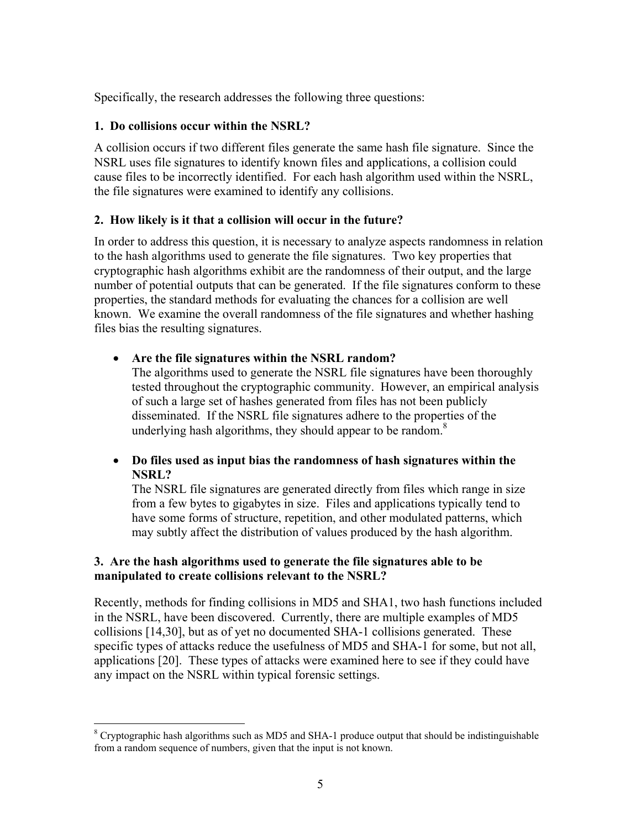Specifically, the research addresses the following three questions:

#### **1. Do collisions occur within the NSRL?**

A collision occurs if two different files generate the same hash file signature. Since the NSRL uses file signatures to identify known files and applications, a collision could cause files to be incorrectly identified. For each hash algorithm used within the NSRL, the file signatures were examined to identify any collisions.

#### **2. How likely is it that a collision will occur in the future?**

In order to address this question, it is necessary to analyze aspects randomness in relation to the hash algorithms used to generate the file signatures. Two key properties that cryptographic hash algorithms exhibit are the randomness of their output, and the large number of potential outputs that can be generated. If the file signatures conform to these properties, the standard methods for evaluating the chances for a collision are well known. We examine the overall randomness of the file signatures and whether hashing files bias the resulting signatures.

#### • **Are the file signatures within the NSRL random?**

The algorithms used to generate the NSRL file signatures have been thoroughly tested throughout the cryptographic community. However, an empirical analysis of such a large set of hashes generated from files has not been publicly disseminated. If the NSRL file signatures adhere to the properties of the underlying hash algorithms, they should appear to be random.<sup>8</sup>

• **Do files used as input bias the randomness of hash signatures within the NSRL?** 

The NSRL file signatures are generated directly from files which range in size from a few bytes to gigabytes in size. Files and applications typically tend to have some forms of structure, repetition, and other modulated patterns, which may subtly affect the distribution of values produced by the hash algorithm.

#### **3. Are the hash algorithms used to generate the file signatures able to be manipulated to create collisions relevant to the NSRL?**

 $\overline{a}$ 

Recently, methods for finding collisions in MD5 and SHA1, two hash functions included in the NSRL, have been discovered. Currently, there are multiple examples of MD5 collisions [14,30], but as of yet no documented SHA-1 collisions generated. These specific types of attacks reduce the usefulness of MD5 and SHA-1 for some, but not all, applications [20]. These types of attacks were examined here to see if they could have any impact on the NSRL within typical forensic settings.

 $8$  Cryptographic hash algorithms such as MD5 and SHA-1 produce output that should be indistinguishable from a random sequence of numbers, given that the input is not known.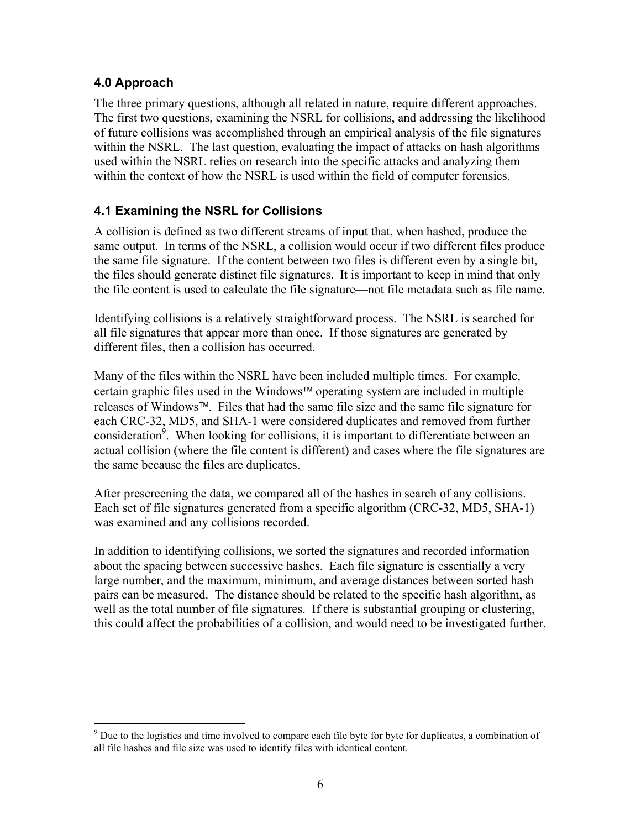#### **4.0 Approach**

1

The three primary questions, although all related in nature, require different approaches. The first two questions, examining the NSRL for collisions, and addressing the likelihood of future collisions was accomplished through an empirical analysis of the file signatures within the NSRL. The last question, evaluating the impact of attacks on hash algorithms used within the NSRL relies on research into the specific attacks and analyzing them within the context of how the NSRL is used within the field of computer forensics.

## **4.1 Examining the NSRL for Collisions**

A collision is defined as two different streams of input that, when hashed, produce the same output. In terms of the NSRL, a collision would occur if two different files produce the same file signature. If the content between two files is different even by a single bit, the files should generate distinct file signatures. It is important to keep in mind that only the file content is used to calculate the file signature—not file metadata such as file name.

Identifying collisions is a relatively straightforward process. The NSRL is searched for all file signatures that appear more than once. If those signatures are generated by different files, then a collision has occurred.

Many of the files within the NSRL have been included multiple times. For example, certain graphic files used in the Windows<sup> $\text{TM}$ </sup> operating system are included in multiple releases of Windows<sup>™</sup>. Files that had the same file size and the same file signature for each CRC-32, MD5, and SHA-1 were considered duplicates and removed from further consideration<sup>9</sup>. When looking for collisions, it is important to differentiate between an actual collision (where the file content is different) and cases where the file signatures are the same because the files are duplicates.

After prescreening the data, we compared all of the hashes in search of any collisions. Each set of file signatures generated from a specific algorithm (CRC-32, MD5, SHA-1) was examined and any collisions recorded.

In addition to identifying collisions, we sorted the signatures and recorded information about the spacing between successive hashes. Each file signature is essentially a very large number, and the maximum, minimum, and average distances between sorted hash pairs can be measured. The distance should be related to the specific hash algorithm, as well as the total number of file signatures. If there is substantial grouping or clustering, this could affect the probabilities of a collision, and would need to be investigated further.

<sup>&</sup>lt;sup>9</sup> Due to the logistics and time involved to compare each file byte for byte for duplicates, a combination of all file hashes and file size was used to identify files with identical content.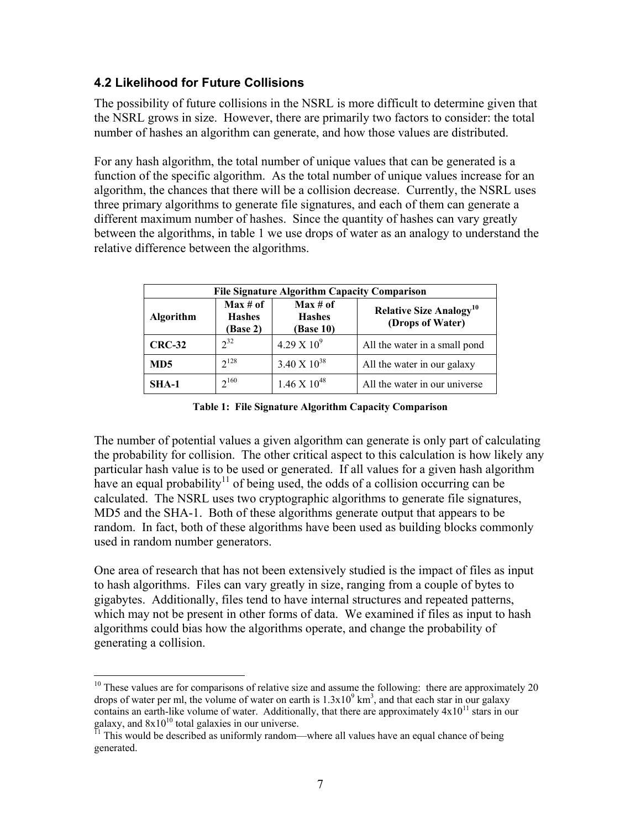## **4.2 Likelihood for Future Collisions**

The possibility of future collisions in the NSRL is more difficult to determine given that the NSRL grows in size. However, there are primarily two factors to consider: the total number of hashes an algorithm can generate, and how those values are distributed.

For any hash algorithm, the total number of unique values that can be generated is a function of the specific algorithm. As the total number of unique values increase for an algorithm, the chances that there will be a collision decrease. Currently, the NSRL uses three primary algorithms to generate file signatures, and each of them can generate a different maximum number of hashes. Since the quantity of hashes can vary greatly between the algorithms, in table 1 we use drops of water as an analogy to understand the relative difference between the algorithms.

| <b>File Signature Algorithm Capacity Comparison</b> |                                      |                                              |                                                               |  |
|-----------------------------------------------------|--------------------------------------|----------------------------------------------|---------------------------------------------------------------|--|
| <b>Algorithm</b>                                    | Max# of<br><b>Hashes</b><br>(Base 2) | Max# of<br><b>Hashes</b><br><b>(Base 10)</b> | <b>Relative Size Analogy<sup>10</sup></b><br>(Drops of Water) |  |
| <b>CRC-32</b>                                       | $2^{32}$                             | $4.29 \times 10^{9}$                         | All the water in a small pond                                 |  |
| MD <sub>5</sub>                                     | $2^{128}$                            | $3.40 \times 10^{38}$                        | All the water in our galaxy                                   |  |
| $SHA-1$                                             | $2^{160}$                            | $1.46 \times 10^{48}$                        | All the water in our universe                                 |  |

**Table 1: File Signature Algorithm Capacity Comparison** 

The number of potential values a given algorithm can generate is only part of calculating the probability for collision. The other critical aspect to this calculation is how likely any particular hash value is to be used or generated. If all values for a given hash algorithm have an equal probability<sup>11</sup> of being used, the odds of a collision occurring can be calculated. The NSRL uses two cryptographic algorithms to generate file signatures, MD5 and the SHA-1. Both of these algorithms generate output that appears to be random. In fact, both of these algorithms have been used as building blocks commonly used in random number generators.

One area of research that has not been extensively studied is the impact of files as input to hash algorithms. Files can vary greatly in size, ranging from a couple of bytes to gigabytes. Additionally, files tend to have internal structures and repeated patterns, which may not be present in other forms of data. We examined if files as input to hash algorithms could bias how the algorithms operate, and change the probability of generating a collision.

 $\overline{a}$ 

 $10$  These values are for comparisons of relative size and assume the following: there are approximately 20 drops of water per ml, the volume of water on earth is  $1.3 \times 10^{9}$  km<sup>3</sup>, and that each star in our galaxy contains an earth-like volume of water. Additionally, that there are approximately  $4x10^{11}$  stars in our galaxy, and  $8x10^{10}$  total galaxies in our universe.<br><sup>11</sup> This would be described as uniformly random—where all values have an equal chance of being

generated.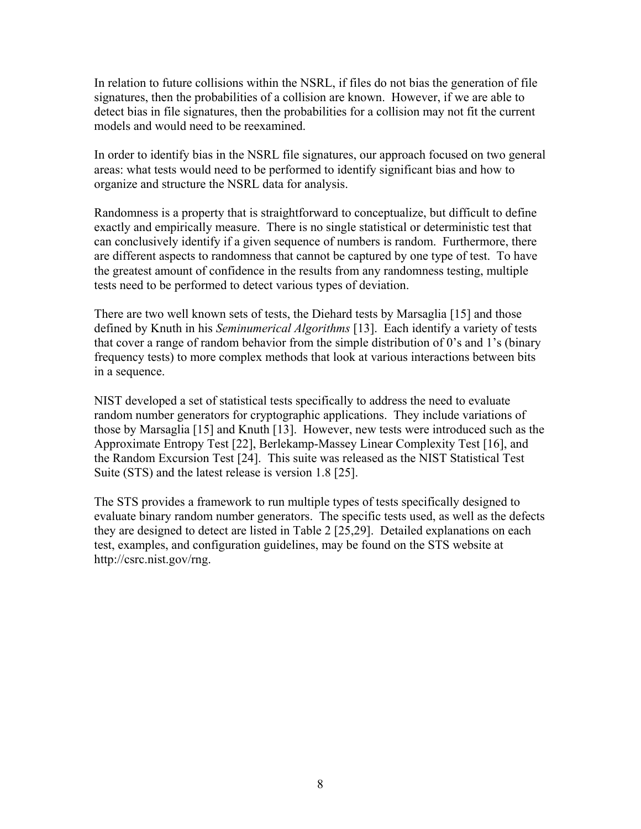In relation to future collisions within the NSRL, if files do not bias the generation of file signatures, then the probabilities of a collision are known. However, if we are able to detect bias in file signatures, then the probabilities for a collision may not fit the current models and would need to be reexamined.

In order to identify bias in the NSRL file signatures, our approach focused on two general areas: what tests would need to be performed to identify significant bias and how to organize and structure the NSRL data for analysis.

Randomness is a property that is straightforward to conceptualize, but difficult to define exactly and empirically measure. There is no single statistical or deterministic test that can conclusively identify if a given sequence of numbers is random. Furthermore, there are different aspects to randomness that cannot be captured by one type of test. To have the greatest amount of confidence in the results from any randomness testing, multiple tests need to be performed to detect various types of deviation.

There are two well known sets of tests, the Diehard tests by Marsaglia [15] and those defined by Knuth in his *Seminumerical Algorithms* [13]. Each identify a variety of tests that cover a range of random behavior from the simple distribution of 0's and 1's (binary frequency tests) to more complex methods that look at various interactions between bits in a sequence.

NIST developed a set of statistical tests specifically to address the need to evaluate random number generators for cryptographic applications. They include variations of those by Marsaglia [15] and Knuth [13]. However, new tests were introduced such as the Approximate Entropy Test [22], Berlekamp-Massey Linear Complexity Test [16], and the Random Excursion Test [24]. This suite was released as the NIST Statistical Test Suite (STS) and the latest release is version 1.8 [25].

The STS provides a framework to run multiple types of tests specifically designed to evaluate binary random number generators. The specific tests used, as well as the defects they are designed to detect are listed in Table 2 [25,29]. Detailed explanations on each test, examples, and configuration guidelines, may be found on the STS website at http://csrc.nist.gov/rng.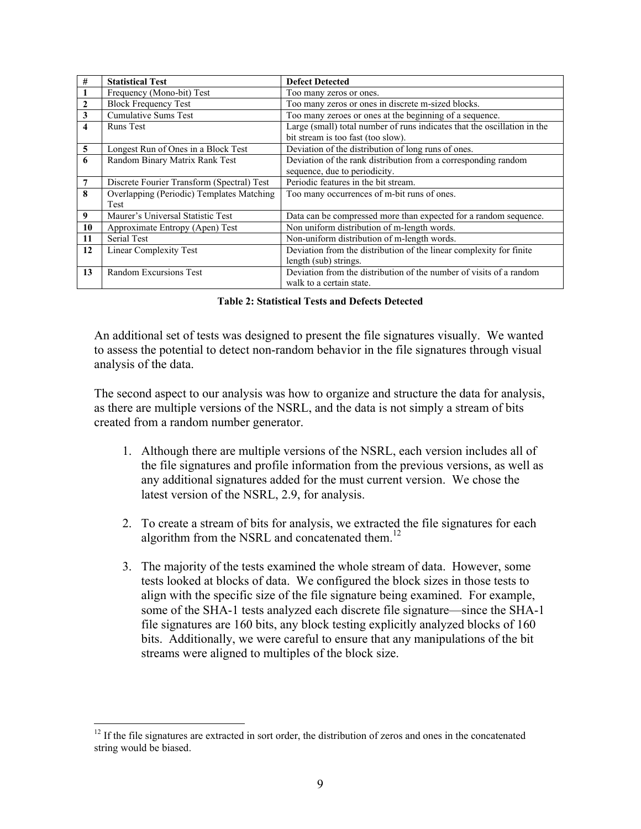| #                | <b>Statistical Test</b>                                                                  | <b>Defect Detected</b>                                                   |  |
|------------------|------------------------------------------------------------------------------------------|--------------------------------------------------------------------------|--|
| 1                | Frequency (Mono-bit) Test                                                                | Too many zeros or ones.                                                  |  |
| $\boldsymbol{2}$ | <b>Block Frequency Test</b>                                                              | Too many zeros or ones in discrete m-sized blocks.                       |  |
| $\mathbf{3}$     | <b>Cumulative Sums Test</b>                                                              | Too many zeroes or ones at the beginning of a sequence.                  |  |
| $\overline{4}$   | <b>Runs</b> Test                                                                         | Large (small) total number of runs indicates that the oscillation in the |  |
|                  |                                                                                          | bit stream is too fast (too slow).                                       |  |
| 5                | Longest Run of Ones in a Block Test                                                      | Deviation of the distribution of long runs of ones.                      |  |
| 6                | Random Binary Matrix Rank Test                                                           | Deviation of the rank distribution from a corresponding random           |  |
|                  |                                                                                          | sequence, due to periodicity.                                            |  |
| 7                | Discrete Fourier Transform (Spectral) Test                                               | Periodic features in the bit stream.                                     |  |
| 8                | Overlapping (Periodic) Templates Matching<br>Too many occurrences of m-bit runs of ones. |                                                                          |  |
|                  | Test                                                                                     |                                                                          |  |
| 9                | Maurer's Universal Statistic Test                                                        | Data can be compressed more than expected for a random sequence.         |  |
| 10               | Approximate Entropy (Apen) Test                                                          | Non uniform distribution of m-length words.                              |  |
| 11               | Serial Test                                                                              | Non-uniform distribution of m-length words.                              |  |
| 12               | Linear Complexity Test                                                                   | Deviation from the distribution of the linear complexity for finite      |  |
|                  |                                                                                          | length (sub) strings.                                                    |  |
| 13               | <b>Random Excursions Test</b>                                                            | Deviation from the distribution of the number of visits of a random      |  |
|                  |                                                                                          | walk to a certain state.                                                 |  |

**Table 2: Statistical Tests and Defects Detected** 

An additional set of tests was designed to present the file signatures visually. We wanted to assess the potential to detect non-random behavior in the file signatures through visual analysis of the data.

The second aspect to our analysis was how to organize and structure the data for analysis, as there are multiple versions of the NSRL, and the data is not simply a stream of bits created from a random number generator.

- 1. Although there are multiple versions of the NSRL, each version includes all of the file signatures and profile information from the previous versions, as well as any additional signatures added for the must current version. We chose the latest version of the NSRL, 2.9, for analysis.
- 2. To create a stream of bits for analysis, we extracted the file signatures for each algorithm from the NSRL and concatenated them.<sup>12</sup>
- 3. The majority of the tests examined the whole stream of data. However, some tests looked at blocks of data. We configured the block sizes in those tests to align with the specific size of the file signature being examined. For example, some of the SHA-1 tests analyzed each discrete file signature—since the SHA-1 file signatures are 160 bits, any block testing explicitly analyzed blocks of 160 bits. Additionally, we were careful to ensure that any manipulations of the bit streams were aligned to multiples of the block size.

 $\overline{a}$ 

 $12$  If the file signatures are extracted in sort order, the distribution of zeros and ones in the concatenated string would be biased.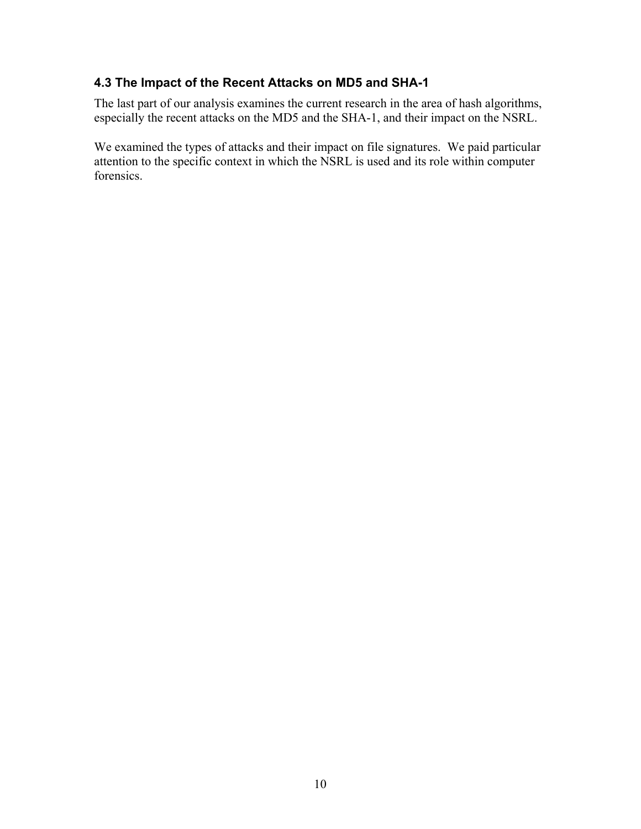### **4.3 The Impact of the Recent Attacks on MD5 and SHA-1**

The last part of our analysis examines the current research in the area of hash algorithms, especially the recent attacks on the MD5 and the SHA-1, and their impact on the NSRL.

We examined the types of attacks and their impact on file signatures. We paid particular attention to the specific context in which the NSRL is used and its role within computer forensics.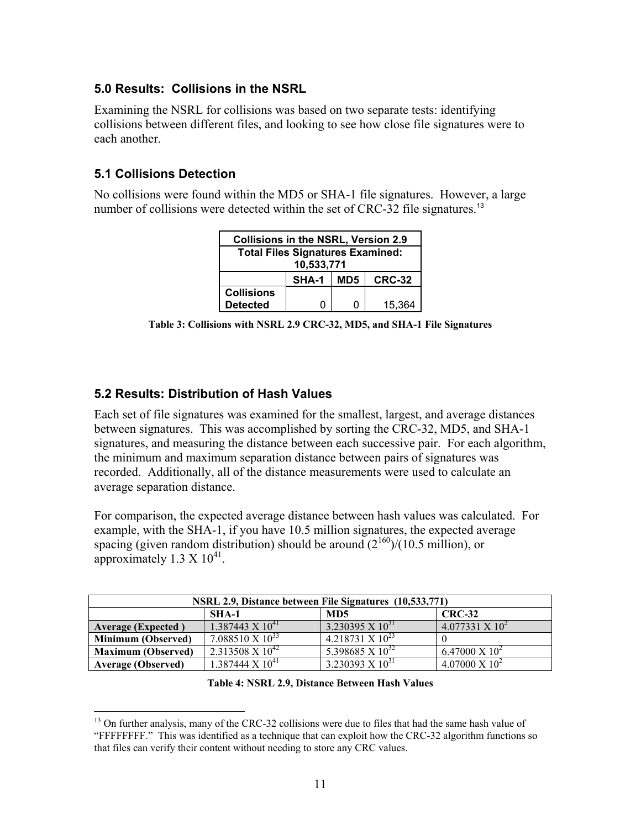## **5.0 Results: Collisions in the NSRL**

Examining the NSRL for collisions was based on two separate tests: identifying collisions between different files, and looking to see how close file signatures were to each another.

### **5.1 Collisions Detection**

No collisions were found within the MD5 or SHA-1 file signatures. However, a large number of collisions were detected within the set of CRC-32 file signatures.<sup>13</sup>

| <b>Collisions in the NSRL, Version 2.9</b>            |                                           |  |  |  |  |  |
|-------------------------------------------------------|-------------------------------------------|--|--|--|--|--|
| <b>Total Files Signatures Examined:</b><br>10,533,771 |                                           |  |  |  |  |  |
|                                                       | SHA-1<br>MD <sub>5</sub><br><b>CRC-32</b> |  |  |  |  |  |
| <b>Collisions</b><br><b>Detected</b><br>15,364        |                                           |  |  |  |  |  |

**Table 3: Collisions with NSRL 2.9 CRC-32, MD5, and SHA-1 File Signatures** 

## **5.2 Results: Distribution of Hash Values**

Each set of file signatures was examined for the smallest, largest, and average distances between signatures. This was accomplished by sorting the CRC-32, MD5, and SHA-1 signatures, and measuring the distance between each successive pair. For each algorithm, the minimum and maximum separation distance between pairs of signatures was recorded. Additionally, all of the distance measurements were used to calculate an average separation distance.

For comparison, the expected average distance between hash values was calculated. For example, with the SHA-1, if you have 10.5 million signatures, the expected average spacing (given random distribution) should be around  $(2^{160})/(10.5 \text{ million})$ , or approximately 1.3 X  $10^{41}$ .

| NSRL 2.9, Distance between File Signatures (10,533,771) |                           |                                 |                          |  |
|---------------------------------------------------------|---------------------------|---------------------------------|--------------------------|--|
| $CRC-32$<br>$SHA-1$<br>MD <sub>5</sub>                  |                           |                                 |                          |  |
| <b>Average (Expected)</b>                               | $1.387443 \times 10^{41}$ | 3.230395 X $10^{31}$            | $4.077331 \times 10^{2}$ |  |
| <b>Minimum (Observed)</b>                               | $7.088510 \times 10^{33}$ | $4.218731 \times 10^{23}$       |                          |  |
| <b>Maximum (Observed)</b>                               | $2.313508 \times 10^{42}$ | 5.398685 X $10^{32}$            | $6.47000 \times 10^{2}$  |  |
| <b>Average (Observed)</b>                               | $1.387444 \times 10^{41}$ | 3.230393 X $\overline{10^{31}}$ | $4.07000 \times 10^{2}$  |  |

 $\overline{a}$ <sup>13</sup> On further analysis, many of the CRC-32 collisions were due to files that had the same hash value of "FFFFFFFF." This was identified as a technique that can exploit how the CRC-32 algorithm functions so that files can verify their content without needing to store any CRC values.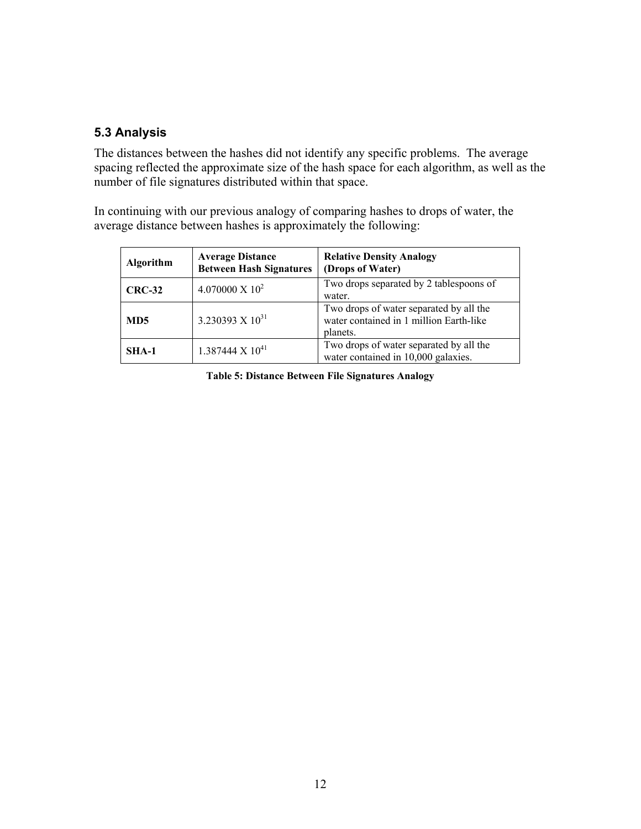## **5.3 Analysis**

The distances between the hashes did not identify any specific problems. The average spacing reflected the approximate size of the hash space for each algorithm, as well as the number of file signatures distributed within that space.

In continuing with our previous analogy of comparing hashes to drops of water, the average distance between hashes is approximately the following:

| <b>Algorithm</b> | <b>Average Distance</b><br><b>Between Hash Signatures</b> | <b>Relative Density Analogy</b><br>(Drops of Water)                                            |
|------------------|-----------------------------------------------------------|------------------------------------------------------------------------------------------------|
| $CRC-32$         | $4.070000 \times 10^{2}$                                  | Two drops separated by 2 tablespoons of<br>water.                                              |
| M <sub>D5</sub>  | 3.230393 X $10^{31}$                                      | Two drops of water separated by all the<br>water contained in 1 million Earth-like<br>planets. |
| SHA-1            | $1.387444 \times 10^{41}$                                 | Two drops of water separated by all the<br>water contained in 10,000 galaxies.                 |

**Table 5: Distance Between File Signatures Analogy**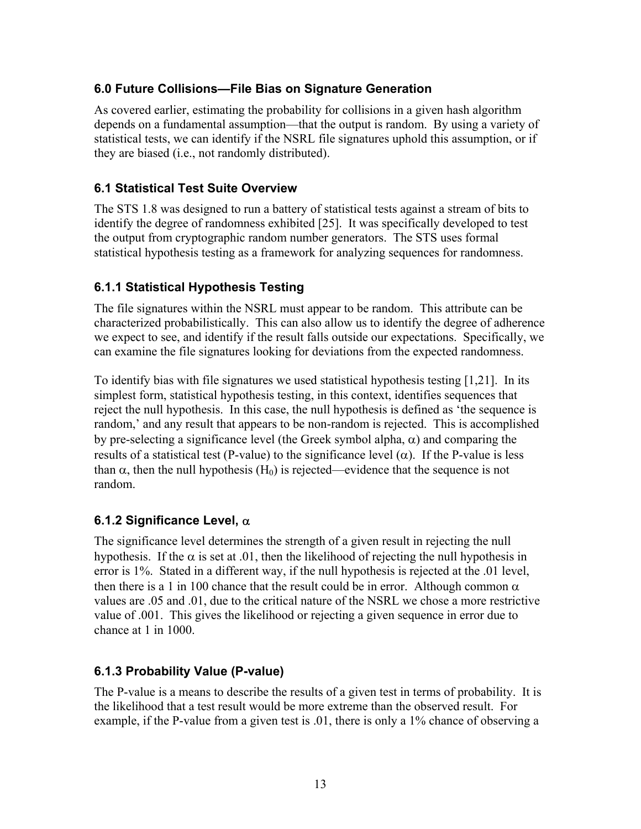## **6.0 Future Collisions—File Bias on Signature Generation**

As covered earlier, estimating the probability for collisions in a given hash algorithm depends on a fundamental assumption—that the output is random. By using a variety of statistical tests, we can identify if the NSRL file signatures uphold this assumption, or if they are biased (i.e., not randomly distributed).

## **6.1 Statistical Test Suite Overview**

The STS 1.8 was designed to run a battery of statistical tests against a stream of bits to identify the degree of randomness exhibited [25]. It was specifically developed to test the output from cryptographic random number generators. The STS uses formal statistical hypothesis testing as a framework for analyzing sequences for randomness.

# **6.1.1 Statistical Hypothesis Testing**

The file signatures within the NSRL must appear to be random. This attribute can be characterized probabilistically. This can also allow us to identify the degree of adherence we expect to see, and identify if the result falls outside our expectations. Specifically, we can examine the file signatures looking for deviations from the expected randomness.

To identify bias with file signatures we used statistical hypothesis testing [1,21]. In its simplest form, statistical hypothesis testing, in this context, identifies sequences that reject the null hypothesis. In this case, the null hypothesis is defined as 'the sequence is random,' and any result that appears to be non-random is rejected. This is accomplished by pre-selecting a significance level (the Greek symbol alpha,  $\alpha$ ) and comparing the results of a statistical test (P-value) to the significance level  $(\alpha)$ . If the P-value is less than  $\alpha$ , then the null hypothesis (H<sub>0</sub>) is rejected—evidence that the sequence is not random.

# **6.1.2 Significance Level,** α

The significance level determines the strength of a given result in rejecting the null hypothesis. If the  $\alpha$  is set at .01, then the likelihood of rejecting the null hypothesis in error is 1%. Stated in a different way, if the null hypothesis is rejected at the .01 level, then there is a 1 in 100 chance that the result could be in error. Although common  $\alpha$ values are .05 and .01, due to the critical nature of the NSRL we chose a more restrictive value of .001. This gives the likelihood or rejecting a given sequence in error due to chance at 1 in 1000.

# **6.1.3 Probability Value (P-value)**

The P-value is a means to describe the results of a given test in terms of probability. It is the likelihood that a test result would be more extreme than the observed result. For example, if the P-value from a given test is .01, there is only a 1% chance of observing a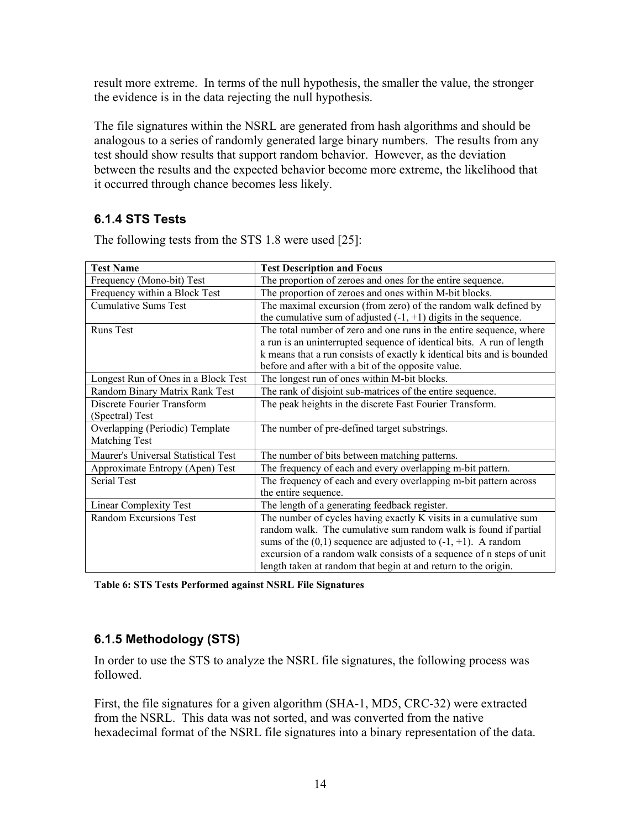result more extreme. In terms of the null hypothesis, the smaller the value, the stronger the evidence is in the data rejecting the null hypothesis.

The file signatures within the NSRL are generated from hash algorithms and should be analogous to a series of randomly generated large binary numbers. The results from any test should show results that support random behavior. However, as the deviation between the results and the expected behavior become more extreme, the likelihood that it occurred through chance becomes less likely.

# **6.1.4 STS Tests**

| <b>Test Name</b>                    | <b>Test Description and Focus</b>                                      |  |  |
|-------------------------------------|------------------------------------------------------------------------|--|--|
| Frequency (Mono-bit) Test           | The proportion of zeroes and ones for the entire sequence.             |  |  |
| Frequency within a Block Test       | The proportion of zeroes and ones within M-bit blocks.                 |  |  |
| <b>Cumulative Sums Test</b>         | The maximal excursion (from zero) of the random walk defined by        |  |  |
|                                     | the cumulative sum of adjusted $(-1, +1)$ digits in the sequence.      |  |  |
| Runs Test                           | The total number of zero and one runs in the entire sequence, where    |  |  |
|                                     | a run is an uninterrupted sequence of identical bits. A run of length  |  |  |
|                                     | k means that a run consists of exactly k identical bits and is bounded |  |  |
|                                     | before and after with a bit of the opposite value.                     |  |  |
| Longest Run of Ones in a Block Test | The longest run of ones within M-bit blocks.                           |  |  |
| Random Binary Matrix Rank Test      | The rank of disjoint sub-matrices of the entire sequence.              |  |  |
| Discrete Fourier Transform          | The peak heights in the discrete Fast Fourier Transform.               |  |  |
| (Spectral) Test                     |                                                                        |  |  |
| Overlapping (Periodic) Template     | The number of pre-defined target substrings.                           |  |  |
| <b>Matching Test</b>                |                                                                        |  |  |
| Maurer's Universal Statistical Test | The number of bits between matching patterns.                          |  |  |
| Approximate Entropy (Apen) Test     | The frequency of each and every overlapping m-bit pattern.             |  |  |
| <b>Serial Test</b>                  | The frequency of each and every overlapping m-bit pattern across       |  |  |
|                                     | the entire sequence.                                                   |  |  |
| <b>Linear Complexity Test</b>       | The length of a generating feedback register.                          |  |  |
| <b>Random Excursions Test</b>       | The number of cycles having exactly K visits in a cumulative sum       |  |  |
|                                     | random walk. The cumulative sum random walk is found if partial        |  |  |
|                                     | sums of the $(0,1)$ sequence are adjusted to $(-1, +1)$ . A random     |  |  |
|                                     | excursion of a random walk consists of a sequence of n steps of unit   |  |  |
|                                     | length taken at random that begin at and return to the origin.         |  |  |

The following tests from the STS 1.8 were used [25]:

**Table 6: STS Tests Performed against NSRL File Signatures** 

## **6.1.5 Methodology (STS)**

In order to use the STS to analyze the NSRL file signatures, the following process was followed.

First, the file signatures for a given algorithm (SHA-1, MD5, CRC-32) were extracted from the NSRL. This data was not sorted, and was converted from the native hexadecimal format of the NSRL file signatures into a binary representation of the data.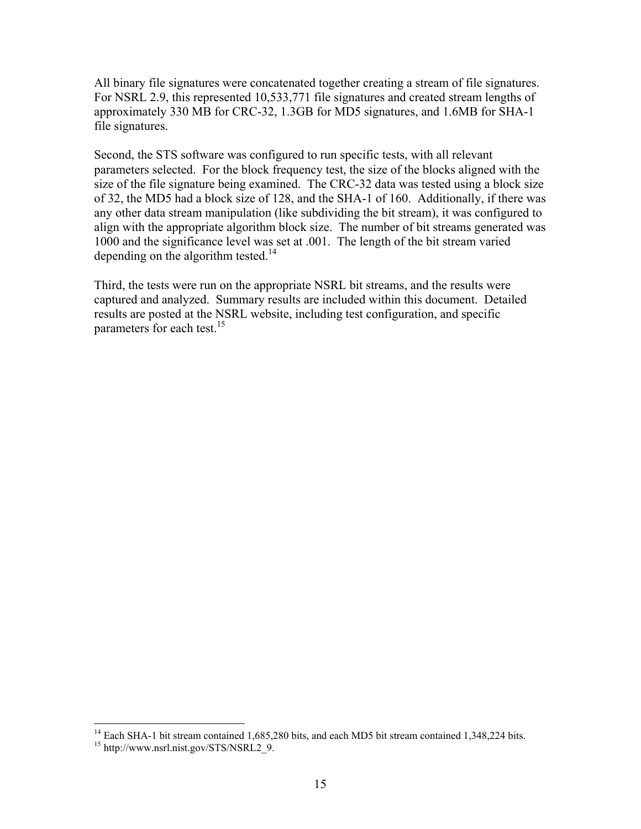All binary file signatures were concatenated together creating a stream of file signatures. For NSRL 2.9, this represented 10,533,771 file signatures and created stream lengths of approximately 330 MB for CRC-32, 1.3GB for MD5 signatures, and 1.6MB for SHA-1 file signatures.

Second, the STS software was configured to run specific tests, with all relevant parameters selected. For the block frequency test, the size of the blocks aligned with the size of the file signature being examined. The CRC-32 data was tested using a block size of 32, the MD5 had a block size of 128, and the SHA-1 of 160. Additionally, if there was any other data stream manipulation (like subdividing the bit stream), it was configured to align with the appropriate algorithm block size. The number of bit streams generated was 1000 and the significance level was set at .001. The length of the bit stream varied depending on the algorithm tested.<sup>14</sup>

Third, the tests were run on the appropriate NSRL bit streams, and the results were captured and analyzed. Summary results are included within this document. Detailed results are posted at the NSRL website, including test configuration, and specific parameters for each test.<sup>15</sup>

 $\overline{a}$ 

<sup>&</sup>lt;sup>14</sup> Each SHA-1 bit stream contained 1,685,280 bits, and each MD5 bit stream contained 1,348,224 bits.

<sup>&</sup>lt;sup>15</sup> http://www.nsrl.nist.gov/STS/NSRL2\_9.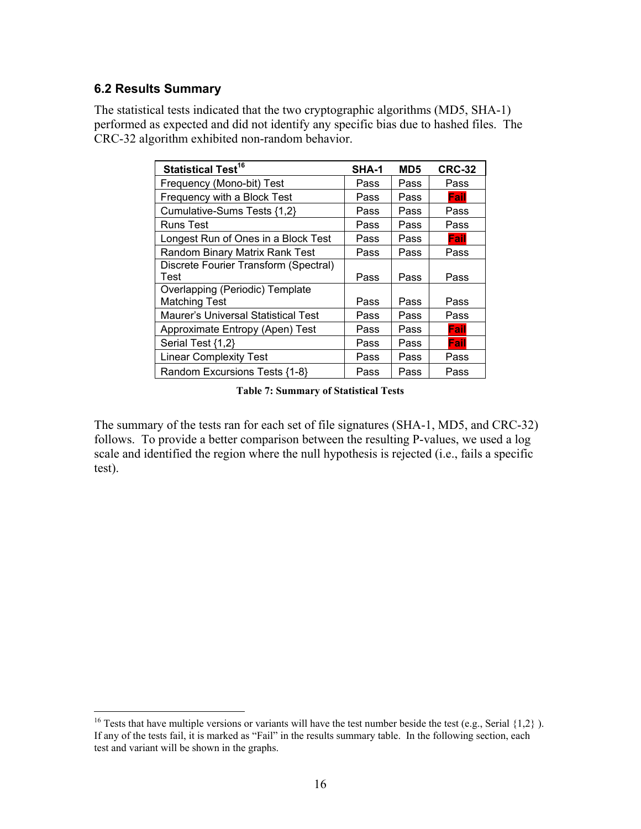### **6.2 Results Summary**

 $\overline{a}$ 

The statistical tests indicated that the two cryptographic algorithms (MD5, SHA-1) performed as expected and did not identify any specific bias due to hashed files. The CRC-32 algorithm exhibited non-random behavior.

| Statistical Test <sup>16</sup>             | SHA-1 | MD <sub>5</sub> | <b>CRC-32</b> |
|--------------------------------------------|-------|-----------------|---------------|
| Frequency (Mono-bit) Test                  | Pass  | Pass            | Pass          |
| Frequency with a Block Test                | Pass  | Pass            | Fail          |
| Cumulative-Sums Tests {1,2}                | Pass  | Pass            | Pass          |
| <b>Runs Test</b>                           | Pass  | Pass            | Pass          |
| Longest Run of Ones in a Block Test        | Pass  | Pass            | Fail          |
| Random Binary Matrix Rank Test             | Pass  | Pass            | Pass          |
| Discrete Fourier Transform (Spectral)      |       |                 |               |
| Test                                       | Pass  | Pass            | Pass          |
| Overlapping (Periodic) Template            |       |                 |               |
| <b>Matching Test</b>                       | Pass  | Pass            | Pass          |
| <b>Maurer's Universal Statistical Test</b> | Pass  | Pass            | Pass          |
| Approximate Entropy (Apen) Test            | Pass  | Pass            | Fail          |
| Serial Test {1,2}                          | Pass  | Pass            | Fail          |
| <b>Linear Complexity Test</b>              | Pass  | Pass            | Pass          |
| Random Excursions Tests {1-8}              | Pass  | Pass            | Pass          |

**Table 7: Summary of Statistical Tests** 

The summary of the tests ran for each set of file signatures (SHA-1, MD5, and CRC-32) follows. To provide a better comparison between the resulting P-values, we used a log scale and identified the region where the null hypothesis is rejected (i.e., fails a specific test).

<sup>&</sup>lt;sup>16</sup> Tests that have multiple versions or variants will have the test number beside the test (e.g., Serial  $\{1,2\}$ ). If any of the tests fail, it is marked as "Fail" in the results summary table. In the following section, each test and variant will be shown in the graphs.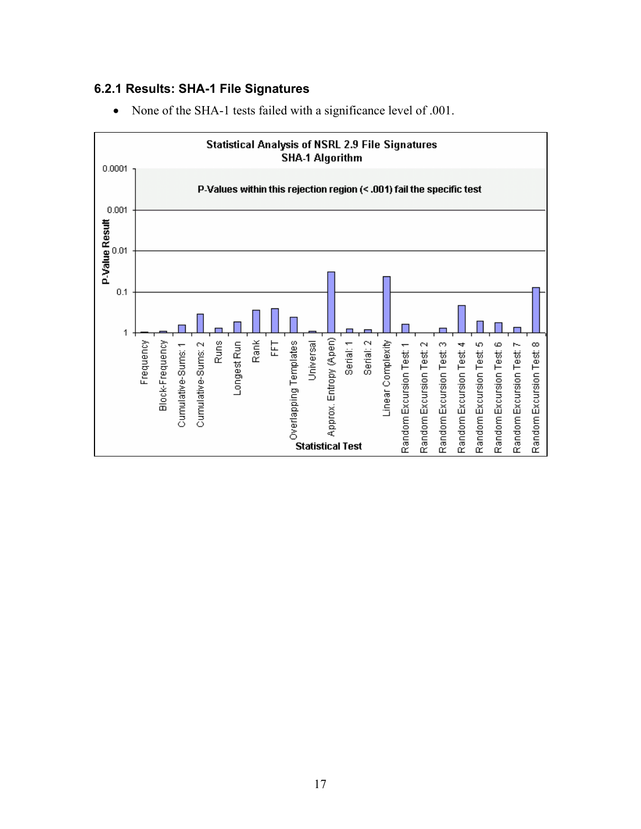

#### **6.2.1 Results: SHA-1 File Signatures**

• None of the SHA-1 tests failed with a significance level of .001.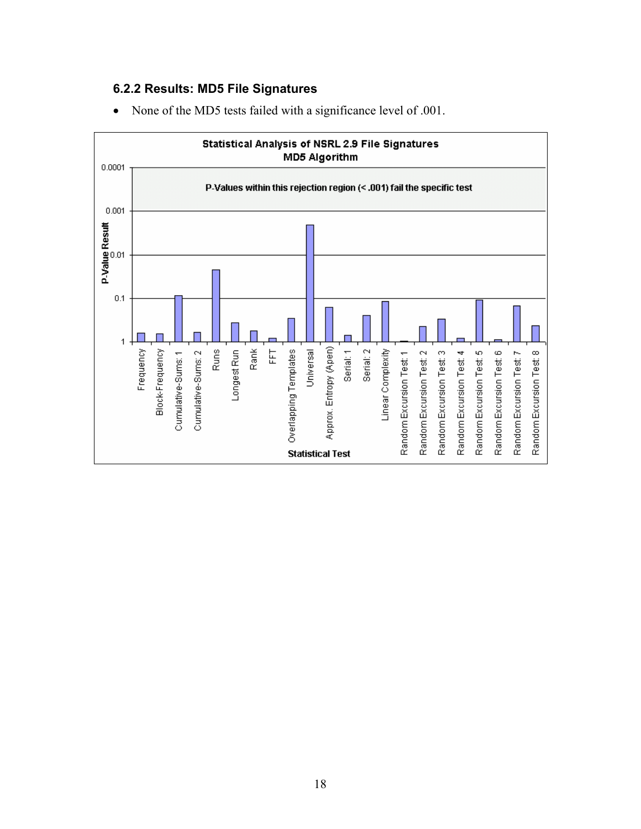# **6.2.2 Results: MD5 File Signatures**

• None of the MD5 tests failed with a significance level of .001.

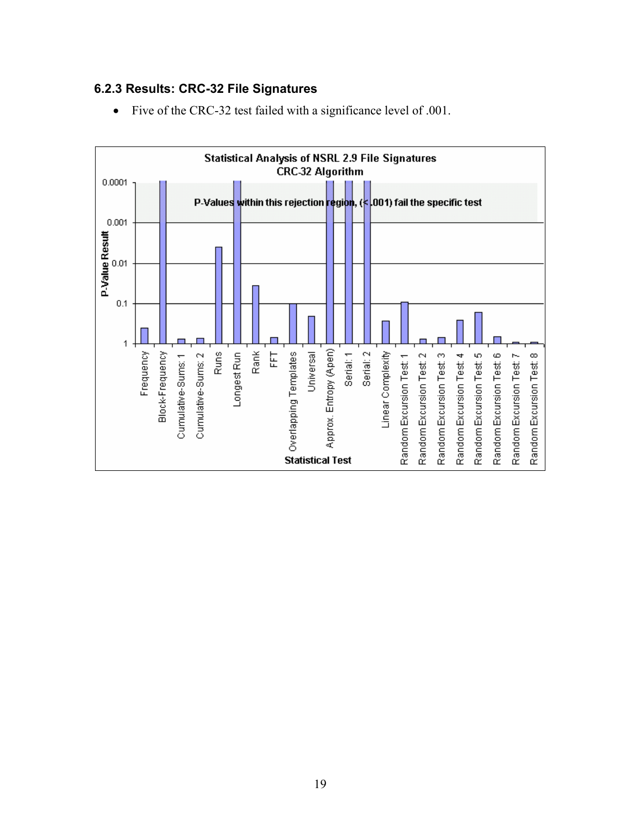## **6.2.3 Results: CRC-32 File Signatures**

• Five of the CRC-32 test failed with a significance level of .001.

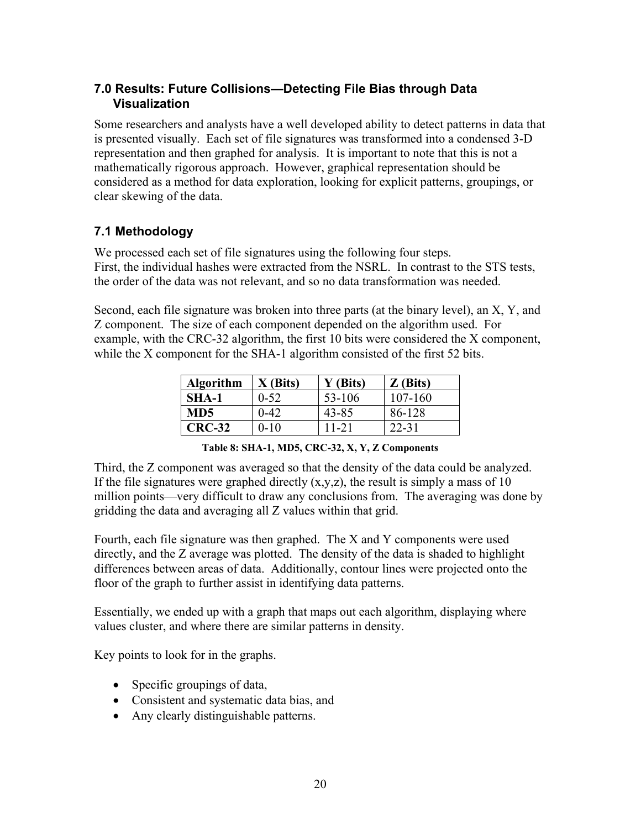### **7.0 Results: Future Collisions—Detecting File Bias through Data Visualization**

Some researchers and analysts have a well developed ability to detect patterns in data that is presented visually. Each set of file signatures was transformed into a condensed 3-D representation and then graphed for analysis. It is important to note that this is not a mathematically rigorous approach. However, graphical representation should be considered as a method for data exploration, looking for explicit patterns, groupings, or clear skewing of the data.

# **7.1 Methodology**

We processed each set of file signatures using the following four steps. First, the individual hashes were extracted from the NSRL. In contrast to the STS tests, the order of the data was not relevant, and so no data transformation was needed.

Second, each file signature was broken into three parts (at the binary level), an X, Y, and Z component. The size of each component depended on the algorithm used. For example, with the CRC-32 algorithm, the first 10 bits were considered the X component, while the X component for the SHA-1 algorithm consisted of the first 52 bits.

| <b>Algorithm</b> | $X$ (Bits) | Y (Bits) | $Z$ (Bits) |
|------------------|------------|----------|------------|
| $SHA-1$          | $0 - 52$   | 53-106   | 107-160    |
| MD5              | $0 - 42$   | 43-85    | 86-128     |
| <b>CRC-32</b>    | $0 - 10$   | 11-21    | $22 - 31$  |

**Table 8: SHA-1, MD5, CRC-32, X, Y, Z Components** 

Third, the Z component was averaged so that the density of the data could be analyzed. If the file signatures were graphed directly  $(x,y,z)$ , the result is simply a mass of 10 million points—very difficult to draw any conclusions from. The averaging was done by gridding the data and averaging all Z values within that grid.

Fourth, each file signature was then graphed. The X and Y components were used directly, and the Z average was plotted. The density of the data is shaded to highlight differences between areas of data. Additionally, contour lines were projected onto the floor of the graph to further assist in identifying data patterns.

Essentially, we ended up with a graph that maps out each algorithm, displaying where values cluster, and where there are similar patterns in density.

Key points to look for in the graphs.

- Specific groupings of data,
- Consistent and systematic data bias, and
- Any clearly distinguishable patterns.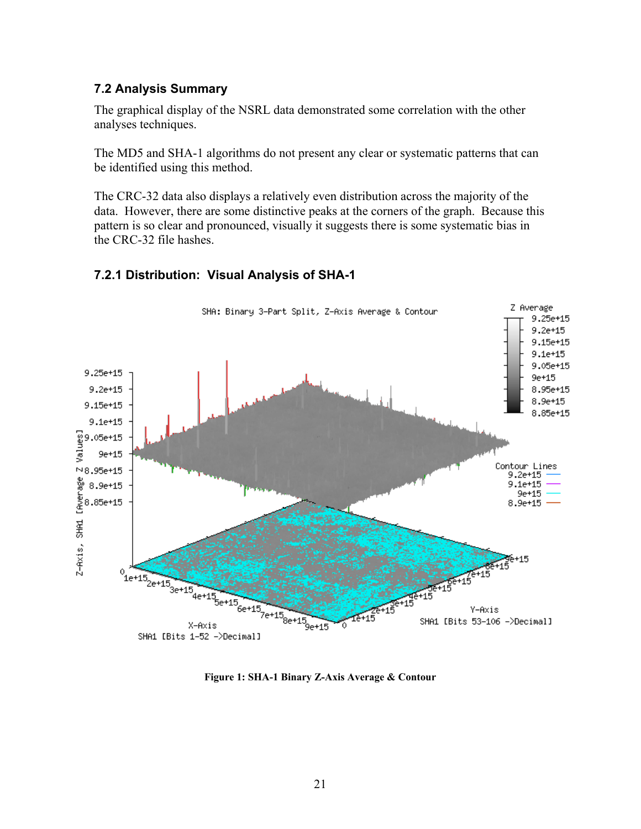## **7.2 Analysis Summary**

The graphical display of the NSRL data demonstrated some correlation with the other analyses techniques.

The MD5 and SHA-1 algorithms do not present any clear or systematic patterns that can be identified using this method.

The CRC-32 data also displays a relatively even distribution across the majority of the data. However, there are some distinctive peaks at the corners of the graph. Because this pattern is so clear and pronounced, visually it suggests there is some systematic bias in the CRC-32 file hashes.



# **7.2.1 Distribution: Visual Analysis of SHA-1**

**Figure 1: SHA-1 Binary Z-Axis Average & Contour**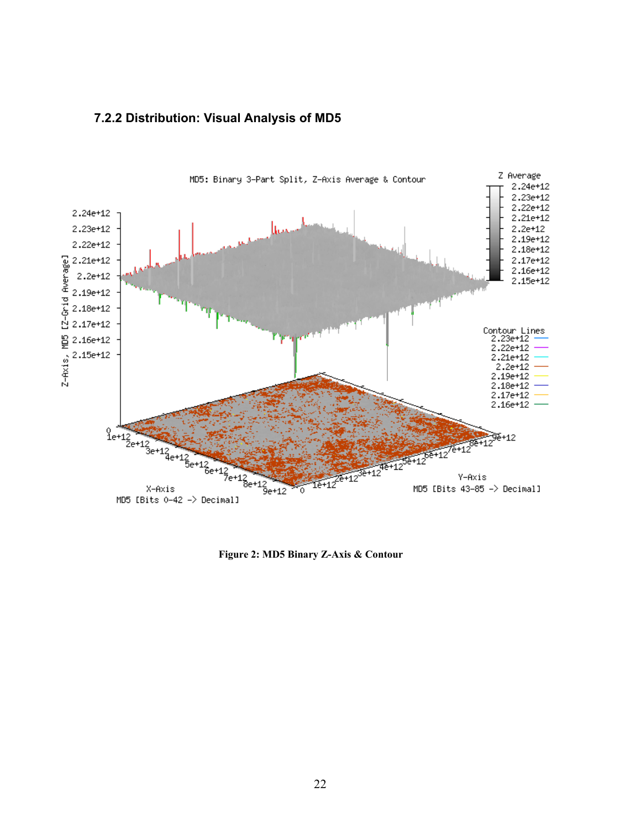

#### **7.2.2 Distribution: Visual Analysis of MD5**

**Figure 2: MD5 Binary Z-Axis & Contour**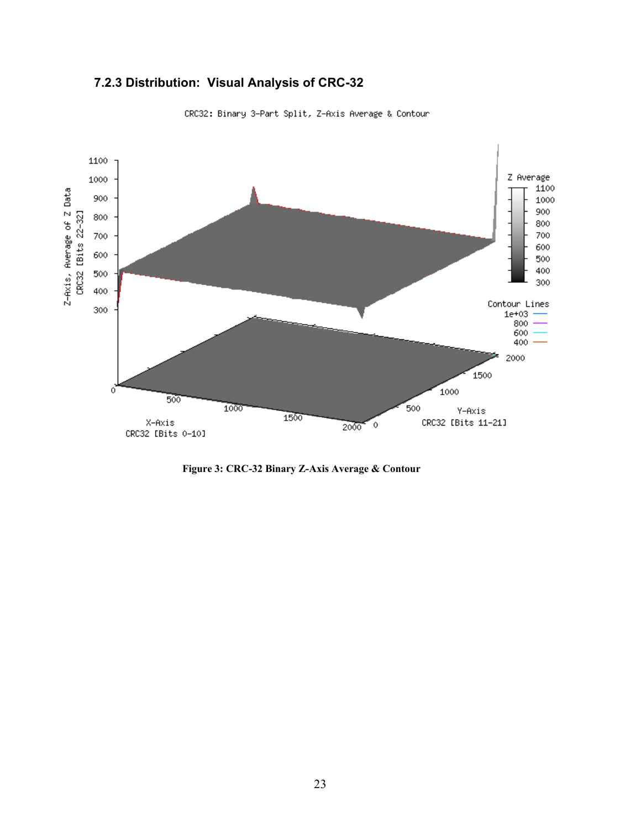

# **7.2.3 Distribution: Visual Analysis of CRC-32**

CRC32: Binary 3-Part Split, Z-Axis Average & Contour

**Figure 3: CRC-32 Binary Z-Axis Average & Contour**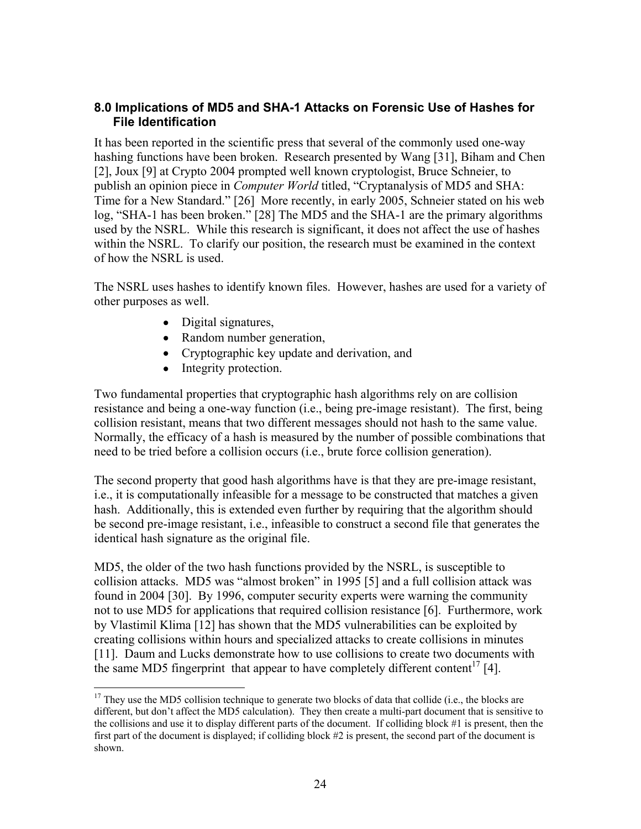#### **8.0 Implications of MD5 and SHA-1 Attacks on Forensic Use of Hashes for File Identification**

It has been reported in the scientific press that several of the commonly used one-way hashing functions have been broken. Research presented by Wang [31], Biham and Chen [2], Joux [9] at Crypto 2004 prompted well known cryptologist, Bruce Schneier, to publish an opinion piece in *Computer World* titled, "Cryptanalysis of MD5 and SHA: Time for a New Standard." [26] More recently, in early 2005, Schneier stated on his web log, "SHA-1 has been broken." [28] The MD5 and the SHA-1 are the primary algorithms used by the NSRL. While this research is significant, it does not affect the use of hashes within the NSRL. To clarify our position, the research must be examined in the context of how the NSRL is used.

The NSRL uses hashes to identify known files. However, hashes are used for a variety of other purposes as well.

- Digital signatures,
- Random number generation,
- Cryptographic key update and derivation, and
- Integrity protection.

1

Two fundamental properties that cryptographic hash algorithms rely on are collision resistance and being a one-way function (i.e., being pre-image resistant). The first, being collision resistant, means that two different messages should not hash to the same value. Normally, the efficacy of a hash is measured by the number of possible combinations that need to be tried before a collision occurs (i.e., brute force collision generation).

The second property that good hash algorithms have is that they are pre-image resistant, i.e., it is computationally infeasible for a message to be constructed that matches a given hash. Additionally, this is extended even further by requiring that the algorithm should be second pre-image resistant, i.e., infeasible to construct a second file that generates the identical hash signature as the original file.

MD5, the older of the two hash functions provided by the NSRL, is susceptible to collision attacks. MD5 was "almost broken" in 1995 [5] and a full collision attack was found in 2004 [30]. By 1996, computer security experts were warning the community not to use MD5 for applications that required collision resistance [6]. Furthermore, work by Vlastimil Klima [12] has shown that the MD5 vulnerabilities can be exploited by creating collisions within hours and specialized attacks to create collisions in minutes [11]. Daum and Lucks demonstrate how to use collisions to create two documents with the same MD5 fingerprint that appear to have completely different content<sup>17</sup> [4].

 $17$  They use the MD5 collision technique to generate two blocks of data that collide (i.e., the blocks are different, but don't affect the MD5 calculation). They then create a multi-part document that is sensitive to the collisions and use it to display different parts of the document. If colliding block #1 is present, then the first part of the document is displayed; if colliding block #2 is present, the second part of the document is shown.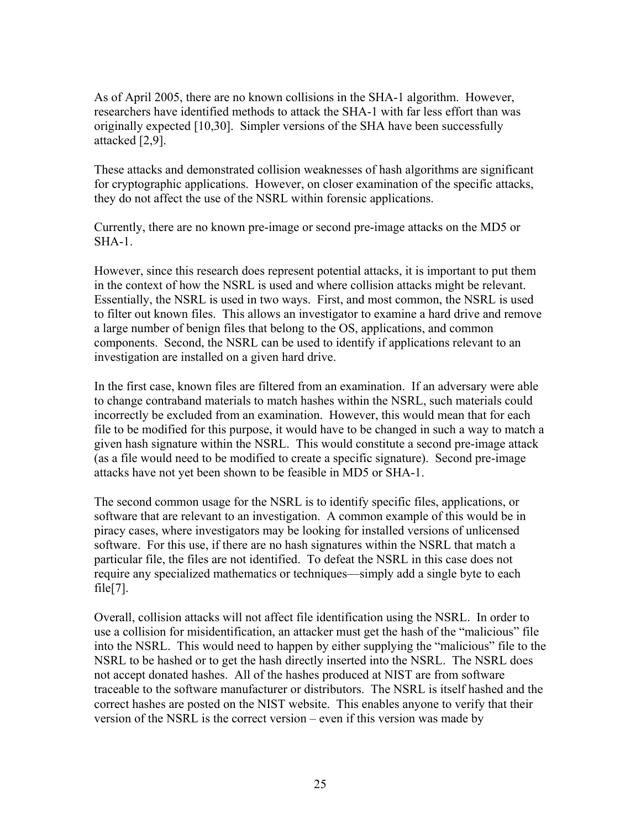As of April 2005, there are no known collisions in the SHA-1 algorithm. However, researchers have identified methods to attack the SHA-1 with far less effort than was originally expected [10,30]. Simpler versions of the SHA have been successfully attacked [2,9].

These attacks and demonstrated collision weaknesses of hash algorithms are significant for cryptographic applications. However, on closer examination of the specific attacks, they do not affect the use of the NSRL within forensic applications.

Currently, there are no known pre-image or second pre-image attacks on the MD5 or SHA-1.

However, since this research does represent potential attacks, it is important to put them in the context of how the NSRL is used and where collision attacks might be relevant. Essentially, the NSRL is used in two ways. First, and most common, the NSRL is used to filter out known files. This allows an investigator to examine a hard drive and remove a large number of benign files that belong to the OS, applications, and common components. Second, the NSRL can be used to identify if applications relevant to an investigation are installed on a given hard drive.

In the first case, known files are filtered from an examination. If an adversary were able to change contraband materials to match hashes within the NSRL, such materials could incorrectly be excluded from an examination. However, this would mean that for each file to be modified for this purpose, it would have to be changed in such a way to match a given hash signature within the NSRL. This would constitute a second pre-image attack (as a file would need to be modified to create a specific signature). Second pre-image attacks have not yet been shown to be feasible in MD5 or SHA-1.

The second common usage for the NSRL is to identify specific files, applications, or software that are relevant to an investigation. A common example of this would be in piracy cases, where investigators may be looking for installed versions of unlicensed software. For this use, if there are no hash signatures within the NSRL that match a particular file, the files are not identified. To defeat the NSRL in this case does not require any specialized mathematics or techniques—simply add a single byte to each file[7].

Overall, collision attacks will not affect file identification using the NSRL. In order to use a collision for misidentification, an attacker must get the hash of the "malicious" file into the NSRL. This would need to happen by either supplying the "malicious" file to the NSRL to be hashed or to get the hash directly inserted into the NSRL. The NSRL does not accept donated hashes. All of the hashes produced at NIST are from software traceable to the software manufacturer or distributors. The NSRL is itself hashed and the correct hashes are posted on the NIST website. This enables anyone to verify that their version of the NSRL is the correct version – even if this version was made by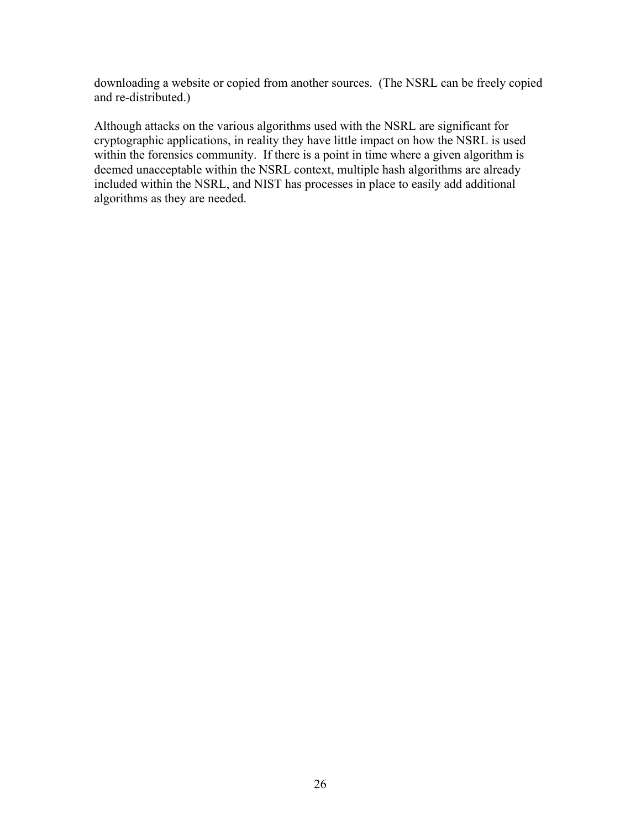downloading a website or copied from another sources. (The NSRL can be freely copied and re-distributed.)

Although attacks on the various algorithms used with the NSRL are significant for cryptographic applications, in reality they have little impact on how the NSRL is used within the forensics community. If there is a point in time where a given algorithm is deemed unacceptable within the NSRL context, multiple hash algorithms are already included within the NSRL, and NIST has processes in place to easily add additional algorithms as they are needed.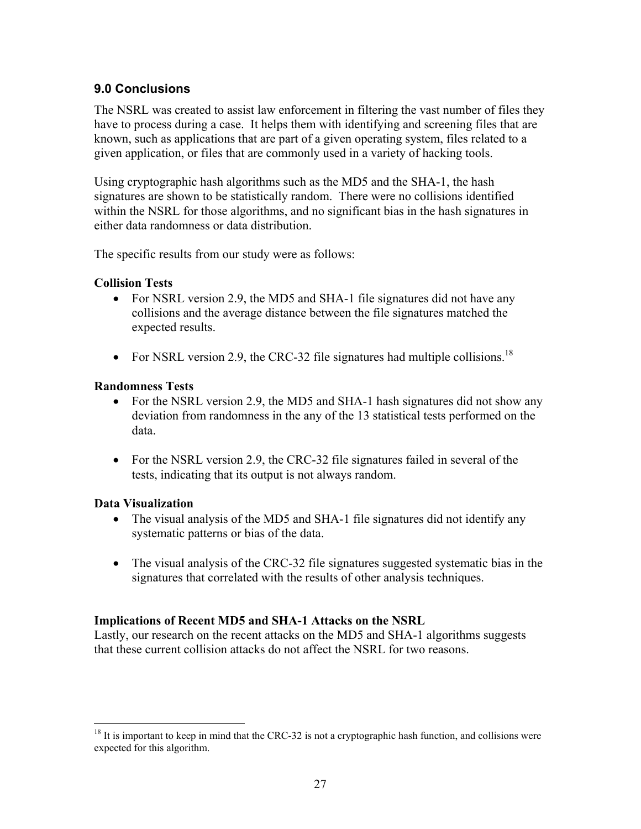# **9.0 Conclusions**

The NSRL was created to assist law enforcement in filtering the vast number of files they have to process during a case. It helps them with identifying and screening files that are known, such as applications that are part of a given operating system, files related to a given application, or files that are commonly used in a variety of hacking tools.

Using cryptographic hash algorithms such as the MD5 and the SHA-1, the hash signatures are shown to be statistically random. There were no collisions identified within the NSRL for those algorithms, and no significant bias in the hash signatures in either data randomness or data distribution.

The specific results from our study were as follows:

#### **Collision Tests**

- For NSRL version 2.9, the MD5 and SHA-1 file signatures did not have any collisions and the average distance between the file signatures matched the expected results.
- For NSRL version 2.9, the CRC-32 file signatures had multiple collisions.<sup>18</sup>

#### **Randomness Tests**

- For the NSRL version 2.9, the MD5 and SHA-1 hash signatures did not show any deviation from randomness in the any of the 13 statistical tests performed on the data.
- For the NSRL version 2.9, the CRC-32 file signatures failed in several of the tests, indicating that its output is not always random.

#### **Data Visualization**

1

- The visual analysis of the MD5 and SHA-1 file signatures did not identify any systematic patterns or bias of the data.
- The visual analysis of the CRC-32 file signatures suggested systematic bias in the signatures that correlated with the results of other analysis techniques.

#### **Implications of Recent MD5 and SHA-1 Attacks on the NSRL**

Lastly, our research on the recent attacks on the MD5 and SHA-1 algorithms suggests that these current collision attacks do not affect the NSRL for two reasons.

 $18$  It is important to keep in mind that the CRC-32 is not a cryptographic hash function, and collisions were expected for this algorithm.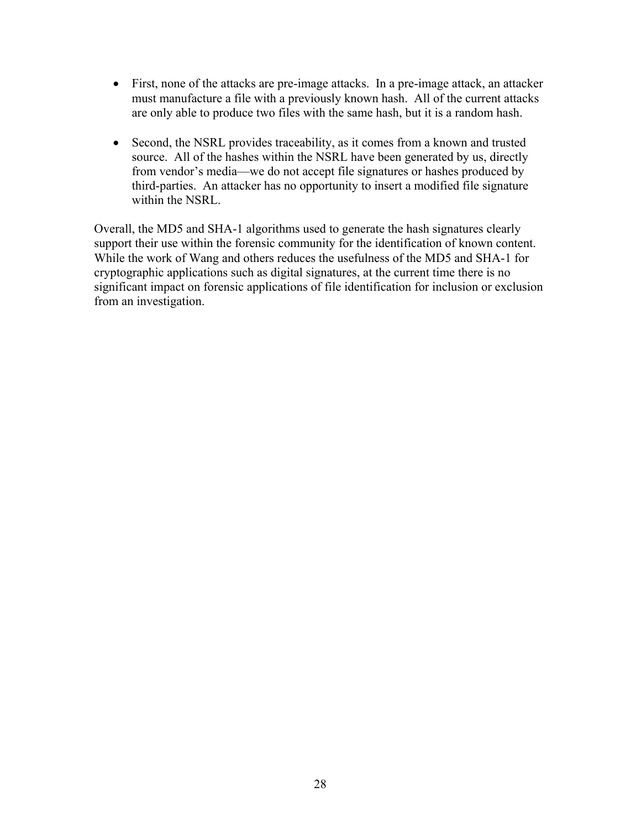- First, none of the attacks are pre-image attacks. In a pre-image attack, an attacker must manufacture a file with a previously known hash. All of the current attacks are only able to produce two files with the same hash, but it is a random hash.
- Second, the NSRL provides traceability, as it comes from a known and trusted source. All of the hashes within the NSRL have been generated by us, directly from vendor's media—we do not accept file signatures or hashes produced by third-parties. An attacker has no opportunity to insert a modified file signature within the NSRL.

Overall, the MD5 and SHA-1 algorithms used to generate the hash signatures clearly support their use within the forensic community for the identification of known content. While the work of Wang and others reduces the usefulness of the MD5 and SHA-1 for cryptographic applications such as digital signatures, at the current time there is no significant impact on forensic applications of file identification for inclusion or exclusion from an investigation.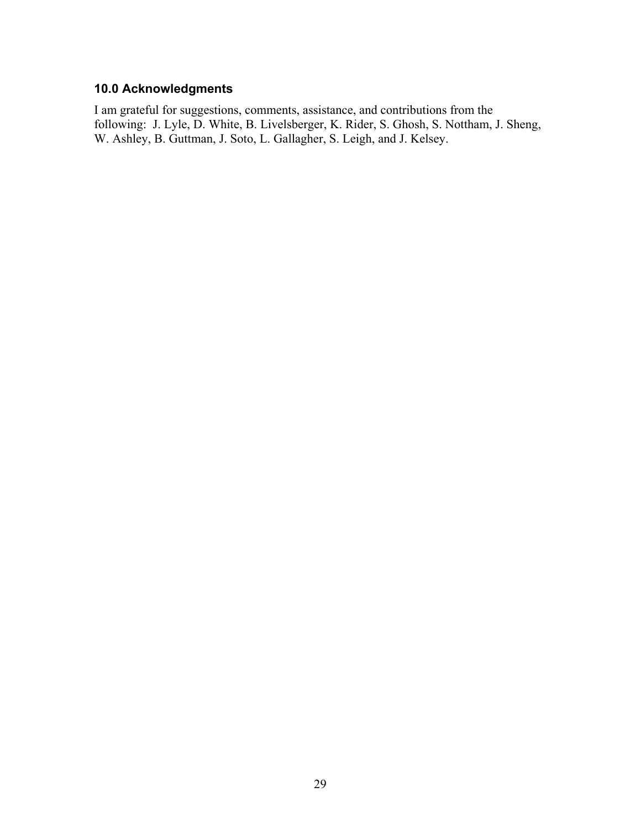# **10.0 Acknowledgments**

I am grateful for suggestions, comments, assistance, and contributions from the following: J. Lyle, D. White, B. Livelsberger, K. Rider, S. Ghosh, S. Nottham, J. Sheng, W. Ashley, B. Guttman, J. Soto, L. Gallagher, S. Leigh, and J. Kelsey.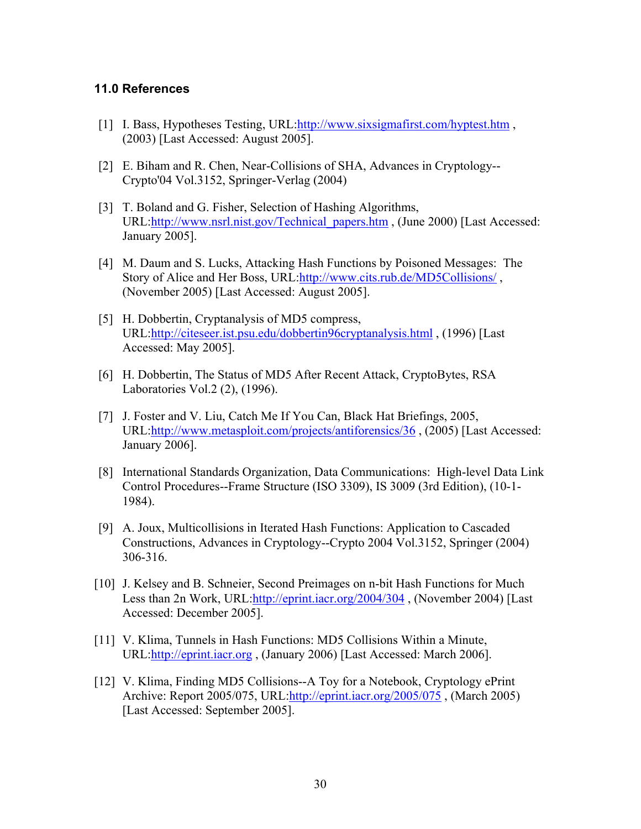#### **11.0 References**

- [1] I. Bass, Hypotheses Testing, URL:http://www.sixsigmafirst.com/hyptest.htm , (2003) [Last Accessed: August 2005].
- [2] E. Biham and R. Chen, Near-Collisions of SHA, Advances in Cryptology-- Crypto'04 Vol.3152, Springer-Verlag (2004)
- [3] T. Boland and G. Fisher, Selection of Hashing Algorithms, URL:http://www.nsrl.nist.gov/Technical\_papers.htm , (June 2000) [Last Accessed: January 2005].
- [4] M. Daum and S. Lucks, Attacking Hash Functions by Poisoned Messages: The Story of Alice and Her Boss, URL:http://www.cits.rub.de/MD5Collisions/ , (November 2005) [Last Accessed: August 2005].
- [5] H. Dobbertin, Cryptanalysis of MD5 compress, URL:http://citeseer.ist.psu.edu/dobbertin96cryptanalysis.html , (1996) [Last Accessed: May 2005].
- [6] H. Dobbertin, The Status of MD5 After Recent Attack, CryptoBytes, RSA Laboratories Vol.2 (2), (1996).
- [7] J. Foster and V. Liu, Catch Me If You Can, Black Hat Briefings, 2005, URL:http://www.metasploit.com/projects/antiforensics/36 , (2005) [Last Accessed: January 2006].
- [8] International Standards Organization, Data Communications: High-level Data Link Control Procedures--Frame Structure (ISO 3309), IS 3009 (3rd Edition), (10-1- 1984).
- [9] A. Joux, Multicollisions in Iterated Hash Functions: Application to Cascaded Constructions, Advances in Cryptology--Crypto 2004 Vol.3152, Springer (2004) 306-316.
- [10] J. Kelsey and B. Schneier, Second Preimages on n-bit Hash Functions for Much Less than 2n Work, URL:http://eprint.iacr.org/2004/304 , (November 2004) [Last Accessed: December 2005].
- [11] V. Klima, Tunnels in Hash Functions: MD5 Collisions Within a Minute, URL:http://eprint.iacr.org , (January 2006) [Last Accessed: March 2006].
- [12] V. Klima, Finding MD5 Collisions--A Toy for a Notebook, Cryptology ePrint Archive: Report 2005/075, URL:http://eprint.iacr.org/2005/075 , (March 2005) [Last Accessed: September 2005].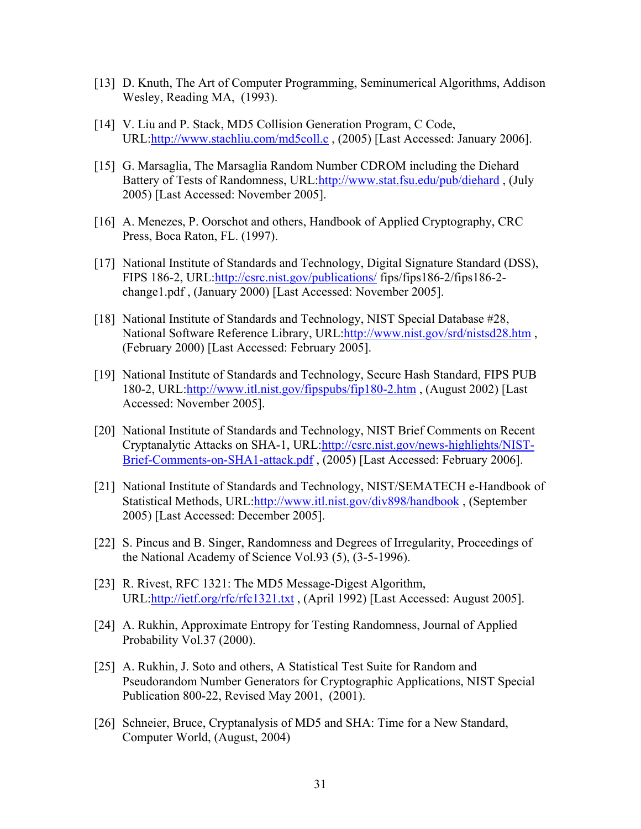- [13] D. Knuth, The Art of Computer Programming, Seminumerical Algorithms, Addison Wesley, Reading MA, (1993).
- [14] V. Liu and P. Stack, MD5 Collision Generation Program, C Code, URL:http://www.stachliu.com/md5coll.c , (2005) [Last Accessed: January 2006].
- [15] G. Marsaglia, The Marsaglia Random Number CDROM including the Diehard Battery of Tests of Randomness, URL:http://www.stat.fsu.edu/pub/diehard , (July 2005) [Last Accessed: November 2005].
- [16] A. Menezes, P. Oorschot and others, Handbook of Applied Cryptography, CRC Press, Boca Raton, FL. (1997).
- [17] National Institute of Standards and Technology, Digital Signature Standard (DSS), FIPS 186-2, URL:http://csrc.nist.gov/publications/ fips/fips186-2/fips186-2 change1.pdf , (January 2000) [Last Accessed: November 2005].
- [18] National Institute of Standards and Technology, NIST Special Database #28, National Software Reference Library, URL:http://www.nist.gov/srd/nistsd28.htm , (February 2000) [Last Accessed: February 2005].
- [19] National Institute of Standards and Technology, Secure Hash Standard, FIPS PUB 180-2, URL:http://www.itl.nist.gov/fipspubs/fip180-2.htm , (August 2002) [Last Accessed: November 2005].
- [20] National Institute of Standards and Technology, NIST Brief Comments on Recent Cryptanalytic Attacks on SHA-1, URL:http://csrc.nist.gov/news-highlights/NIST-Brief-Comments-on-SHA1-attack.pdf , (2005) [Last Accessed: February 2006].
- [21] National Institute of Standards and Technology, NIST/SEMATECH e-Handbook of Statistical Methods, URL:http://www.itl.nist.gov/div898/handbook , (September 2005) [Last Accessed: December 2005].
- [22] S. Pincus and B. Singer, Randomness and Degrees of Irregularity, Proceedings of the National Academy of Science Vol.93 (5), (3-5-1996).
- [23] R. Rivest, RFC 1321: The MD5 Message-Digest Algorithm, URL:http://ietf.org/rfc/rfc1321.txt , (April 1992) [Last Accessed: August 2005].
- [24] A. Rukhin, Approximate Entropy for Testing Randomness, Journal of Applied Probability Vol.37 (2000).
- [25] A. Rukhin, J. Soto and others, A Statistical Test Suite for Random and Pseudorandom Number Generators for Cryptographic Applications, NIST Special Publication 800-22, Revised May 2001, (2001).
- [26] Schneier, Bruce, Cryptanalysis of MD5 and SHA: Time for a New Standard, Computer World, (August, 2004)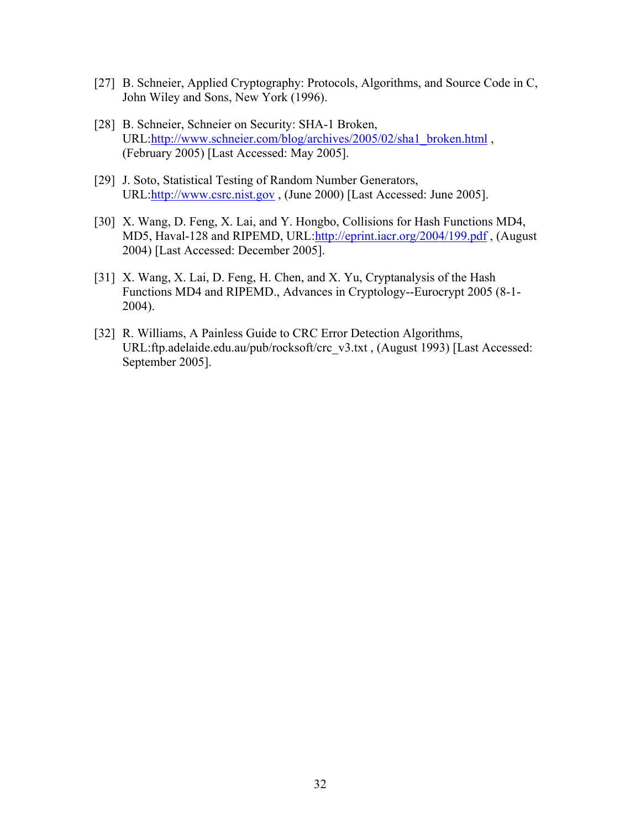- [27] B. Schneier, Applied Cryptography: Protocols, Algorithms, and Source Code in C, John Wiley and Sons, New York (1996).
- [28] B. Schneier, Schneier on Security: SHA-1 Broken, URL:http://www.schneier.com/blog/archives/2005/02/sha1\_broken.html , (February 2005) [Last Accessed: May 2005].
- [29] J. Soto, Statistical Testing of Random Number Generators, URL:http://www.csrc.nist.gov , (June 2000) [Last Accessed: June 2005].
- [30] X. Wang, D. Feng, X. Lai, and Y. Hongbo, Collisions for Hash Functions MD4, MD5, Haval-128 and RIPEMD, URL:http://eprint.iacr.org/2004/199.pdf, (August 2004) [Last Accessed: December 2005].
- [31] X. Wang, X. Lai, D. Feng, H. Chen, and X. Yu, Cryptanalysis of the Hash Functions MD4 and RIPEMD., Advances in Cryptology--Eurocrypt 2005 (8-1- 2004).
- [32] R. Williams, A Painless Guide to CRC Error Detection Algorithms, URL:ftp.adelaide.edu.au/pub/rocksoft/crc\_v3.txt , (August 1993) [Last Accessed: September 2005].